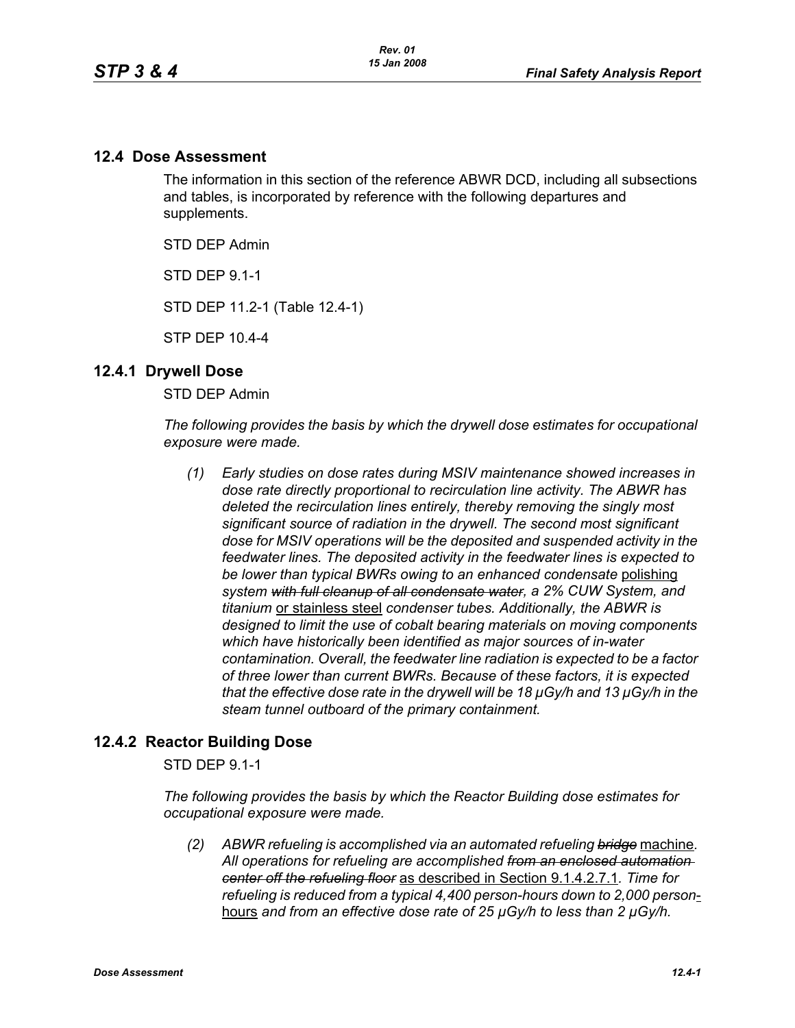### **12.4 Dose Assessment**

The information in this section of the reference ABWR DCD, including all subsections and tables, is incorporated by reference with the following departures and supplements.

STD DEP Admin

STD DEP 9.1-1

STD DEP 11.2-1 (Table 12.4-1)

STP DEP 10.4-4

#### **12.4.1 Drywell Dose**

STD DEP Admin

*The following provides the basis by which the drywell dose estimates for occupational exposure were made.*

*(1) Early studies on dose rates during MSIV maintenance showed increases in dose rate directly proportional to recirculation line activity. The ABWR has deleted the recirculation lines entirely, thereby removing the singly most significant source of radiation in the drywell. The second most significant dose for MSIV operations will be the deposited and suspended activity in the feedwater lines. The deposited activity in the feedwater lines is expected to be lower than typical BWRs owing to an enhanced condensate* polishing *system with full cleanup of all condensate water, a 2% CUW System, and titanium* or stainless steel *condenser tubes. Additionally, the ABWR is designed to limit the use of cobalt bearing materials on moving components which have historically been identified as major sources of in-water contamination. Overall, the feedwater line radiation is expected to be a factor of three lower than current BWRs. Because of these factors, it is expected that the effective dose rate in the drywell will be 18 µGy/h and 13 µGy/h in the steam tunnel outboard of the primary containment.* 

### **12.4.2 Reactor Building Dose**

STD DEP 9.1-1

*The following provides the basis by which the Reactor Building dose estimates for occupational exposure were made.*

*(2) ABWR refueling is accomplished via an automated refueling bridge* machine*. All operations for refueling are accomplished from an enclosed automation center off the refueling floor* as described in Section 9.1.4.2.7.1*. Time for refueling is reduced from a typical 4,400 person-hours down to 2,000 person*hours *and from an effective dose rate of 25 µGy/h to less than 2 µGy/h.*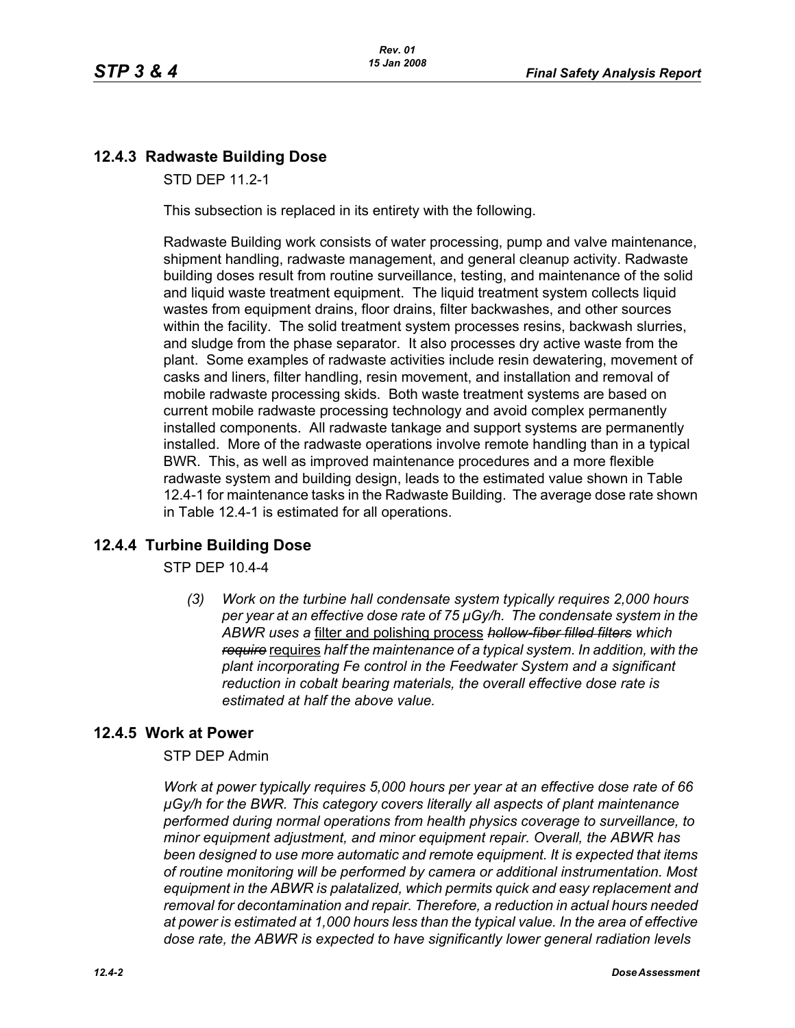# **12.4.3 Radwaste Building Dose**

STD DEP 11.2-1

This subsection is replaced in its entirety with the following.

Radwaste Building work consists of water processing, pump and valve maintenance, shipment handling, radwaste management, and general cleanup activity. Radwaste building doses result from routine surveillance, testing, and maintenance of the solid and liquid waste treatment equipment. The liquid treatment system collects liquid wastes from equipment drains, floor drains, filter backwashes, and other sources within the facility. The solid treatment system processes resins, backwash slurries, and sludge from the phase separator. It also processes dry active waste from the plant. Some examples of radwaste activities include resin dewatering, movement of casks and liners, filter handling, resin movement, and installation and removal of mobile radwaste processing skids. Both waste treatment systems are based on current mobile radwaste processing technology and avoid complex permanently installed components. All radwaste tankage and support systems are permanently installed. More of the radwaste operations involve remote handling than in a typical BWR. This, as well as improved maintenance procedures and a more flexible radwaste system and building design, leads to the estimated value shown in Table 12.4-1 for maintenance tasks in the Radwaste Building. The average dose rate shown in Table 12.4-1 is estimated for all operations.

## **12.4.4 Turbine Building Dose**

STP DEP 10.4-4

*(3) Work on the turbine hall condensate system typically requires 2,000 hours per year at an effective dose rate of 75 µGy/h. The condensate system in the ABWR uses a* filter and polishing process *hollow-fiber filled filters which require* requires *half the maintenance of a typical system. In addition, with the plant incorporating Fe control in the Feedwater System and a significant reduction in cobalt bearing materials, the overall effective dose rate is estimated at half the above value.*

## **12.4.5 Work at Power**

STP DEP Admin

*Work at power typically requires 5,000 hours per year at an effective dose rate of 66 µGy/h for the BWR. This category covers literally all aspects of plant maintenance performed during normal operations from health physics coverage to surveillance, to minor equipment adjustment, and minor equipment repair. Overall, the ABWR has been designed to use more automatic and remote equipment. It is expected that items of routine monitoring will be performed by camera or additional instrumentation. Most equipment in the ABWR is palatalized, which permits quick and easy replacement and removal for decontamination and repair. Therefore, a reduction in actual hours needed at power is estimated at 1,000 hours less than the typical value. In the area of effective dose rate, the ABWR is expected to have significantly lower general radiation levels*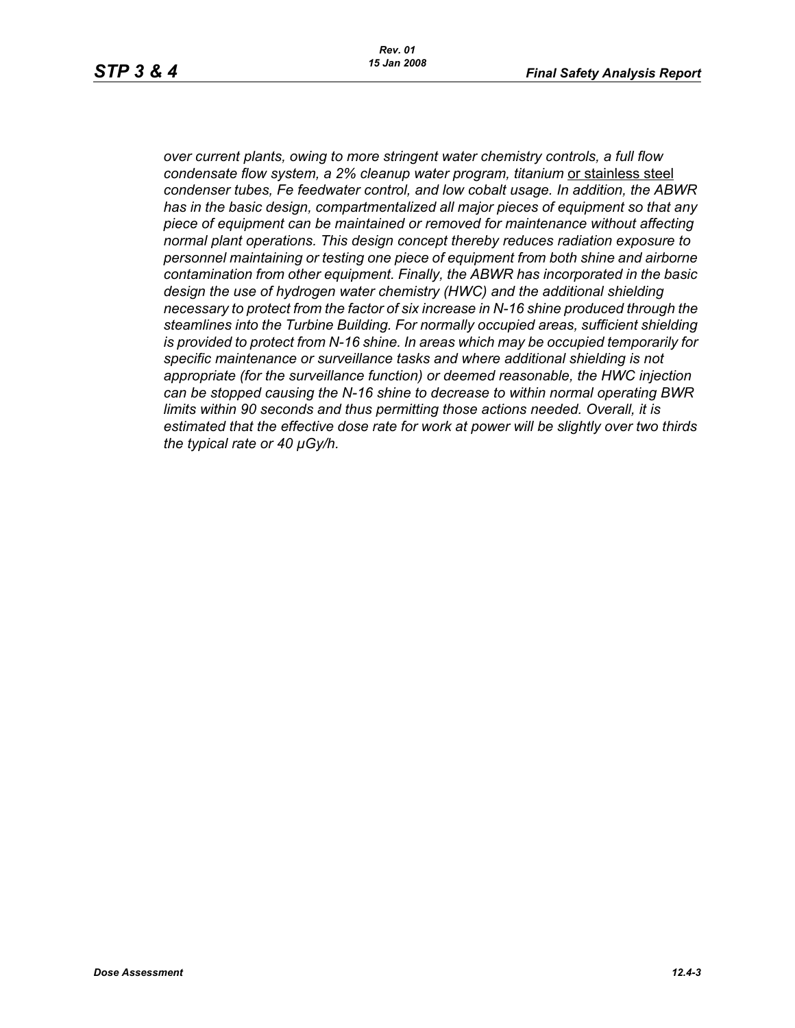*over current plants, owing to more stringent water chemistry controls, a full flow condensate flow system, a 2% cleanup water program, titanium* or stainless steel *condenser tubes, Fe feedwater control, and low cobalt usage. In addition, the ABWR has in the basic design, compartmentalized all major pieces of equipment so that any piece of equipment can be maintained or removed for maintenance without affecting normal plant operations. This design concept thereby reduces radiation exposure to personnel maintaining or testing one piece of equipment from both shine and airborne contamination from other equipment. Finally, the ABWR has incorporated in the basic design the use of hydrogen water chemistry (HWC) and the additional shielding necessary to protect from the factor of six increase in N-16 shine produced through the steamlines into the Turbine Building. For normally occupied areas, sufficient shielding is provided to protect from N-16 shine. In areas which may be occupied temporarily for specific maintenance or surveillance tasks and where additional shielding is not appropriate (for the surveillance function) or deemed reasonable, the HWC injection can be stopped causing the N-16 shine to decrease to within normal operating BWR limits within 90 seconds and thus permitting those actions needed. Overall, it is estimated that the effective dose rate for work at power will be slightly over two thirds the typical rate or 40 µGy/h.*